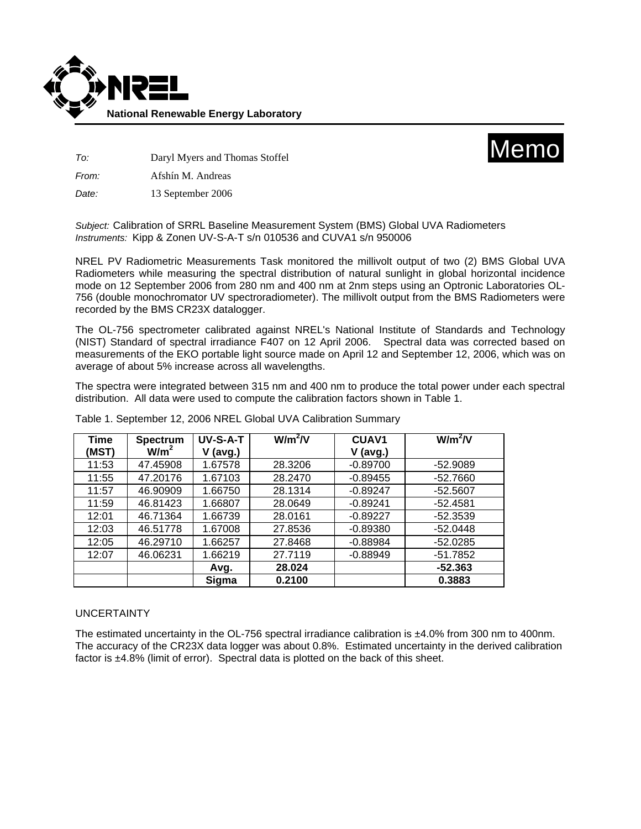



*To:* Daryl Myers and Thomas Stoffel

*From:* Afshín M. Andreas

*Date:* 13 September 2006

*Subject:* Calibration of SRRL Baseline Measurement System (BMS) Global UVA Radiometers *Instruments:* Kipp & Zonen UV-S-A-T s/n 010536 and CUVA1 s/n 950006

NREL PV Radiometric Measurements Task monitored the millivolt output of two (2) BMS Global UVA Radiometers while measuring the spectral distribution of natural sunlight in global horizontal incidence mode on 12 September 2006 from 280 nm and 400 nm at 2nm steps using an Optronic Laboratories OL-756 (double monochromator UV spectroradiometer). The millivolt output from the BMS Radiometers were recorded by the BMS CR23X datalogger.

The OL-756 spectrometer calibrated against NREL's National Institute of Standards and Technology (NIST) Standard of spectral irradiance F407 on 12 April 2006. Spectral data was corrected based on measurements of the EKO portable light source made on April 12 and September 12, 2006, which was on average of about 5% increase across all wavelengths.

The spectra were integrated between 315 nm and 400 nm to produce the total power under each spectral distribution. All data were used to compute the calibration factors shown in Table 1.

| Time  | <b>Spectrum</b>  | UV-S-A-T   | $W/m^2/V$ | <b>CUAV1</b> | $W/m^2/V$  |
|-------|------------------|------------|-----------|--------------|------------|
| (MST) | W/m <sup>2</sup> | $V$ (avg.) |           | $V$ (avg.)   |            |
| 11:53 | 47.45908         | 1.67578    | 28.3206   | $-0.89700$   | $-52.9089$ |
| 11:55 | 47.20176         | 1.67103    | 28.2470   | $-0.89455$   | $-52.7660$ |
| 11:57 | 46.90909         | 1.66750    | 28.1314   | $-0.89247$   | $-52.5607$ |
| 11:59 | 46.81423         | 1.66807    | 28.0649   | $-0.89241$   | $-52.4581$ |
| 12:01 | 46.71364         | 1.66739    | 28.0161   | $-0.89227$   | $-52.3539$ |
| 12:03 | 46.51778         | 1.67008    | 27.8536   | $-0.89380$   | $-52.0448$ |
| 12:05 | 46.29710         | 1.66257    | 27.8468   | $-0.88984$   | $-52.0285$ |
| 12:07 | 46.06231         | 1.66219    | 27.7119   | $-0.88949$   | $-51.7852$ |
|       |                  | Avg.       | 28.024    |              | $-52.363$  |
|       |                  | Sigma      | 0.2100    |              | 0.3883     |

Table 1. September 12, 2006 NREL Global UVA Calibration Summary

## UNCERTAINTY

The estimated uncertainty in the OL-756 spectral irradiance calibration is ±4.0% from 300 nm to 400nm. The accuracy of the CR23X data logger was about 0.8%. Estimated uncertainty in the derived calibration factor is ±4.8% (limit of error). Spectral data is plotted on the back of this sheet.